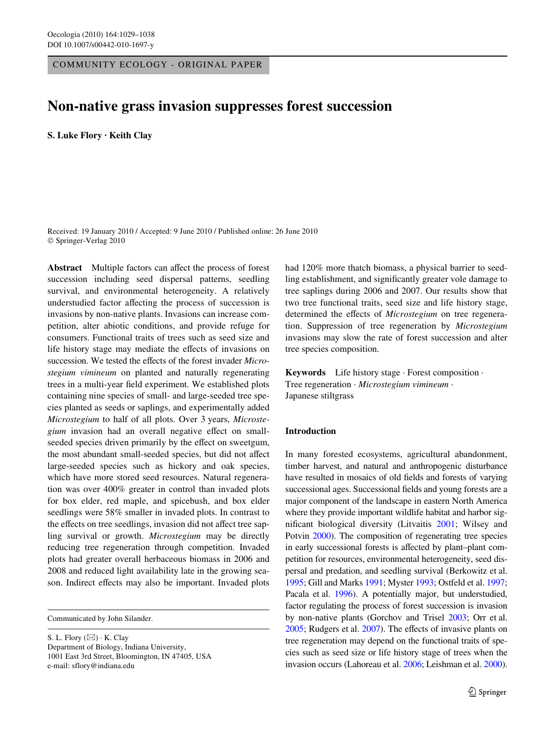COMMUNITY ECOLOGY - ORIGINAL PAPER

# **Non-native grass invasion suppresses forest succession**

**S. Luke Flory · Keith Clay** 

Received: 19 January 2010 / Accepted: 9 June 2010 / Published online: 26 June 2010 © Springer-Verlag 2010

**Abstract** Multiple factors can affect the process of forest succession including seed dispersal patterns, seedling survival, and environmental heterogeneity. A relatively understudied factor affecting the process of succession is invasions by non-native plants. Invasions can increase competition, alter abiotic conditions, and provide refuge for consumers. Functional traits of trees such as seed size and life history stage may mediate the effects of invasions on succession. We tested the effects of the forest invader *Microstegium vimineum* on planted and naturally regenerating trees in a multi-year field experiment. We established plots containing nine species of small- and large-seeded tree species planted as seeds or saplings, and experimentally added *Microstegium* to half of all plots. Over 3 years, *Microstegium* invasion had an overall negative effect on smallseeded species driven primarily by the effect on sweetgum, the most abundant small-seeded species, but did not affect large-seeded species such as hickory and oak species, which have more stored seed resources. Natural regeneration was over 400% greater in control than invaded plots for box elder, red maple, and spicebush, and box elder seedlings were 58% smaller in invaded plots. In contrast to the effects on tree seedlings, invasion did not affect tree sapling survival or growth. *Microstegium* may be directly reducing tree regeneration through competition. Invaded plots had greater overall herbaceous biomass in 2006 and 2008 and reduced light availability late in the growing season. Indirect effects may also be important. Invaded plots

Communicated by John Silander.

S. L. Flory  $(\boxtimes) \cdot K$ . Clay Department of Biology, Indiana University, 1001 East 3rd Street, Bloomington, IN 47405, USA e-mail: sflory@indiana.edu

had 120% more thatch biomass, a physical barrier to seedling establishment, and significantly greater vole damage to tree saplings during 2006 and 2007. Our results show that two tree functional traits, seed size and life history stage, determined the effects of *Microstegium* on tree regeneration. Suppression of tree regeneration by *Microstegium* invasions may slow the rate of forest succession and alter tree species composition.

**Keywords** Life history stage · Forest composition · Tree regeneration · *Microstegium vimineum* · Japanese stiltgrass

# **Introduction**

In many forested ecosystems, agricultural abandonment, timber harvest, and natural and anthropogenic disturbance have resulted in mosaics of old fields and forests of varying successional ages. Successional fields and young forests are a major component of the landscape in eastern North America where they provide important wildlife habitat and harbor sig-nificant biological diversity (Litvaitis [2001](#page-9-0); Wilsey and Potvin [2000\)](#page-9-1). The composition of regenerating tree species in early successional forests is affected by plant–plant competition for resources, environmental heterogeneity, seed dispersal and predation, and seedling survival (Berkowitz et al. [1995;](#page-8-0) Gill and Marks [1991](#page-8-1); Myster [1993](#page-9-2); Ostfeld et al. [1997;](#page-9-3) Pacala et al. [1996](#page-9-4)). A potentially major, but understudied, factor regulating the process of forest succession is invasion by non-native plants (Gorchov and Trisel [2003;](#page-8-2) Orr et al.  $2005$ ; Rudgers et al.  $2007$ ). The effects of invasive plants on tree regeneration may depend on the functional traits of species such as seed size or life history stage of trees when the invasion occurs (Lahoreau et al. [2006](#page-8-3); Leishman et al. [2000\)](#page-8-4).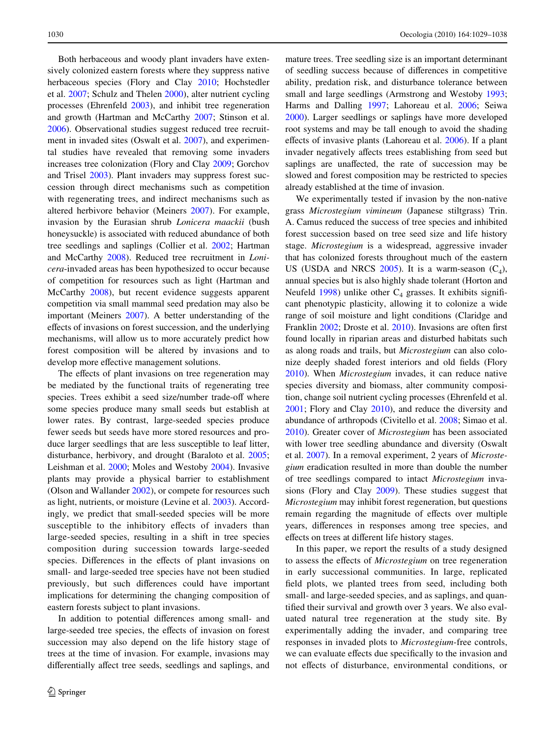Both herbaceous and woody plant invaders have extensively colonized eastern forests where they suppress native herbaceous species (Flory and Clay [2010](#page-8-5); Hochstedler et al. [2007](#page-8-6); Schulz and Thelen [2000\)](#page-9-7), alter nutrient cycling processes (Ehrenfeld [2003\)](#page-8-7), and inhibit tree regeneration and growth (Hartman and McCarthy [2007](#page-8-8); Stinson et al. [2006](#page-9-8)). Observational studies suggest reduced tree recruitment in invaded sites (Oswalt et al. [2007](#page-9-9)), and experimental studies have revealed that removing some invaders increases tree colonization (Flory and Clay [2009](#page-8-9); Gorchov and Trisel [2003](#page-8-2)). Plant invaders may suppress forest succession through direct mechanisms such as competition with regenerating trees, and indirect mechanisms such as altered herbivore behavior (Meiners [2007\)](#page-9-10). For example, invasion by the Eurasian shrub *Lonicera maackii* (bush honeysuckle) is associated with reduced abundance of both tree seedlings and saplings (Collier et al. [2002](#page-8-10); Hartman and McCarthy [2008](#page-8-11)). Reduced tree recruitment in *Lonicera*-invaded areas has been hypothesized to occur because of competition for resources such as light (Hartman and McCarthy [2008\)](#page-8-11), but recent evidence suggests apparent competition via small mammal seed predation may also be important (Meiners [2007\)](#page-9-10). A better understanding of the effects of invasions on forest succession, and the underlying mechanisms, will allow us to more accurately predict how forest composition will be altered by invasions and to develop more effective management solutions.

The effects of plant invasions on tree regeneration may be mediated by the functional traits of regenerating tree species. Trees exhibit a seed size/number trade-off where some species produce many small seeds but establish at lower rates. By contrast, large-seeded species produce fewer seeds but seeds have more stored resources and produce larger seedlings that are less susceptible to leaf litter, disturbance, herbivory, and drought (Baraloto et al. [2005](#page-8-12); Leishman et al. [2000](#page-8-4); Moles and Westoby [2004](#page-9-11)). Invasive plants may provide a physical barrier to establishment (Olson and Wallander [2002\)](#page-9-12), or compete for resources such as light, nutrients, or moisture (Levine et al. [2003](#page-8-13)). Accordingly, we predict that small-seeded species will be more susceptible to the inhibitory effects of invaders than large-seeded species, resulting in a shift in tree species composition during succession towards large-seeded species. Differences in the effects of plant invasions on small- and large-seeded tree species have not been studied previously, but such differences could have important implications for determining the changing composition of eastern forests subject to plant invasions.

In addition to potential differences among small- and large-seeded tree species, the effects of invasion on forest succession may also depend on the life history stage of trees at the time of invasion. For example, invasions may differentially affect tree seeds, seedlings and saplings, and mature trees. Tree seedling size is an important determinant of seedling success because of differences in competitive ability, predation risk, and disturbance tolerance between small and large seedlings (Armstrong and Westoby [1993;](#page-8-14) Harms and Dalling [1997](#page-8-15); Lahoreau et al. [2006](#page-8-3); Seiwa [2000](#page-9-13)). Larger seedlings or saplings have more developed root systems and may be tall enough to avoid the shading effects of invasive plants (Lahoreau et al.  $2006$ ). If a plant invader negatively affects trees establishing from seed but saplings are unaffected, the rate of succession may be slowed and forest composition may be restricted to species already established at the time of invasion.

We experimentally tested if invasion by the non-native grass *Microstegium vimineum* (Japanese stiltgrass) Trin. A. Camus reduced the success of tree species and inhibited forest succession based on tree seed size and life history stage. *Microstegium* is a widespread, aggressive invader that has colonized forests throughout much of the eastern US (USDA and NRCS [2005](#page-9-14)). It is a warm-season  $(C_4)$ , annual species but is also highly shade tolerant (Horton and Neufeld [1998](#page-8-16)) unlike other  $C_4$  grasses. It exhibits significant phenotypic plasticity, allowing it to colonize a wide range of soil moisture and light conditions (Claridge and Franklin [2002;](#page-8-17) Droste et al. [2010](#page-8-18)). Invasions are often first found locally in riparian areas and disturbed habitats such as along roads and trails, but *Microstegium* can also colonize deeply shaded forest interiors and old fields (Flory [2010](#page-8-19)). When *Microstegium* invades, it can reduce native species diversity and biomass, alter community composition, change soil nutrient cycling processes (Ehrenfeld et al. [2001](#page-8-20); Flory and Clay [2010](#page-8-5)), and reduce the diversity and abundance of arthropods (Civitello et al. [2008](#page-8-21); Simao et al. [2010](#page-9-15)). Greater cover of *Microstegium* has been associated with lower tree seedling abundance and diversity (Oswalt et al. [2007\)](#page-9-9). In a removal experiment, 2 years of *Microstegium* eradication resulted in more than double the number of tree seedlings compared to intact *Microstegium* invasions (Flory and Clay [2009](#page-8-9)). These studies suggest that *Microstegium* may inhibit forest regeneration, but questions remain regarding the magnitude of effects over multiple years, differences in responses among tree species, and effects on trees at different life history stages.

In this paper, we report the results of a study designed to assess the effects of *Microstegium* on tree regeneration in early successional communities. In large, replicated field plots, we planted trees from seed, including both small- and large-seeded species, and as saplings, and quantified their survival and growth over 3 years. We also evaluated natural tree regeneration at the study site. By experimentally adding the invader, and comparing tree responses in invaded plots to *Microstegium*-free controls, we can evaluate effects due specifically to the invasion and not effects of disturbance, environmental conditions, or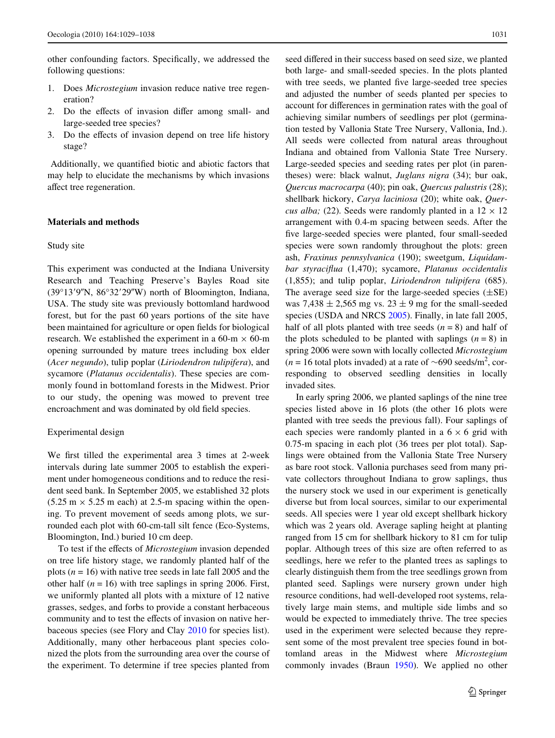other confounding factors. Specifically, we addressed the following questions:

- 1. Does *Microstegium* invasion reduce native tree regeneration?
- 2. Do the effects of invasion differ among small- and large-seeded tree species?
- 3. Do the effects of invasion depend on tree life history stage?

Additionally, we quantified biotic and abiotic factors that may help to elucidate the mechanisms by which invasions affect tree regeneration.

# **Materials and methods**

# Study site

This experiment was conducted at the Indiana University Research and Teaching Preserve's Bayles Road site  $(39°13'9''N, 86°32'29''W)$  north of Bloomington, Indiana, USA. The study site was previously bottomland hardwood forest, but for the past 60 years portions of the site have been maintained for agriculture or open fields for biological research. We established the experiment in a 60-m  $\times$  60-m opening surrounded by mature trees including box elder (*Acer negundo*), tulip poplar (*Liriodendron tulipifera*), and sycamore (*Platanus occidentalis*). These species are commonly found in bottomland forests in the Midwest. Prior to our study, the opening was mowed to prevent tree encroachment and was dominated by old field species.

## Experimental design

We first tilled the experimental area 3 times at 2-week intervals during late summer 2005 to establish the experiment under homogeneous conditions and to reduce the resident seed bank. In September 2005, we established 32 plots  $(5.25 \text{ m} \times 5.25 \text{ m} \text{ each})$  at 2.5-m spacing within the opening. To prevent movement of seeds among plots, we surrounded each plot with 60-cm-tall silt fence (Eco-Systems, Bloomington, Ind.) buried 10 cm deep.

To test if the effects of *Microstegium* invasion depended on tree life history stage, we randomly planted half of the plots (*n* = 16) with native tree seeds in late fall 2005 and the other half  $(n = 16)$  with tree saplings in spring 2006. First, we uniformly planted all plots with a mixture of 12 native grasses, sedges, and forbs to provide a constant herbaceous community and to test the effects of invasion on native herbaceous species (see Flory and Clay [2010](#page-8-5) for species list). Additionally, many other herbaceous plant species colonized the plots from the surrounding area over the course of the experiment. To determine if tree species planted from seed differed in their success based on seed size, we planted both large- and small-seeded species. In the plots planted with tree seeds, we planted five large-seeded tree species and adjusted the number of seeds planted per species to account for differences in germination rates with the goal of achieving similar numbers of seedlings per plot (germination tested by Vallonia State Tree Nursery, Vallonia, Ind.). All seeds were collected from natural areas throughout Indiana and obtained from Vallonia State Tree Nursery. Large-seeded species and seeding rates per plot (in parentheses) were: black walnut, *Juglans nigra* (34); bur oak, *Quercus macrocarpa* (40); pin oak, *Quercus palustris* (28); shellbark hickory, *Carya laciniosa* (20); white oak, *Quercus alba;* (22). Seeds were randomly planted in a  $12 \times 12$ arrangement with 0.4-m spacing between seeds. After the five large-seeded species were planted, four small-seeded species were sown randomly throughout the plots: green ash, *Fraxinus pennsylvanica* (190); sweetgum, *Liquidambar styraciflua* (1,470); sycamore, *Platanus occidentalis* (1,855); and tulip poplar, *Liriodendron tulipifera* (685). The average seed size for the large-seeded species  $(\pm SE)$ was 7,438  $\pm$  2,565 mg vs. 23  $\pm$  9 mg for the small-seeded species (USDA and NRCS [2005\)](#page-9-14). Finally, in late fall 2005, half of all plots planted with tree seeds  $(n = 8)$  and half of the plots scheduled to be planted with saplings  $(n = 8)$  in spring 2006 were sown with locally collected *Microstegium*  $(n = 16$  total plots invaded) at a rate of  $\sim 690$  seeds/m<sup>2</sup>, corresponding to observed seedling densities in locally invaded sites*.*

In early spring 2006, we planted saplings of the nine tree species listed above in 16 plots (the other 16 plots were planted with tree seeds the previous fall). Four saplings of each species were randomly planted in a  $6 \times 6$  grid with 0.75-m spacing in each plot (36 trees per plot total). Saplings were obtained from the Vallonia State Tree Nursery as bare root stock. Vallonia purchases seed from many private collectors throughout Indiana to grow saplings, thus the nursery stock we used in our experiment is genetically diverse but from local sources, similar to our experimental seeds. All species were 1 year old except shellbark hickory which was 2 years old. Average sapling height at planting ranged from 15 cm for shellbark hickory to 81 cm for tulip poplar. Although trees of this size are often referred to as seedlings, here we refer to the planted trees as saplings to clearly distinguish them from the tree seedlings grown from planted seed. Saplings were nursery grown under high resource conditions, had well-developed root systems, relatively large main stems, and multiple side limbs and so would be expected to immediately thrive. The tree species used in the experiment were selected because they represent some of the most prevalent tree species found in bottomland areas in the Midwest where *Microstegium* commonly invades (Braun [1950](#page-8-22)). We applied no other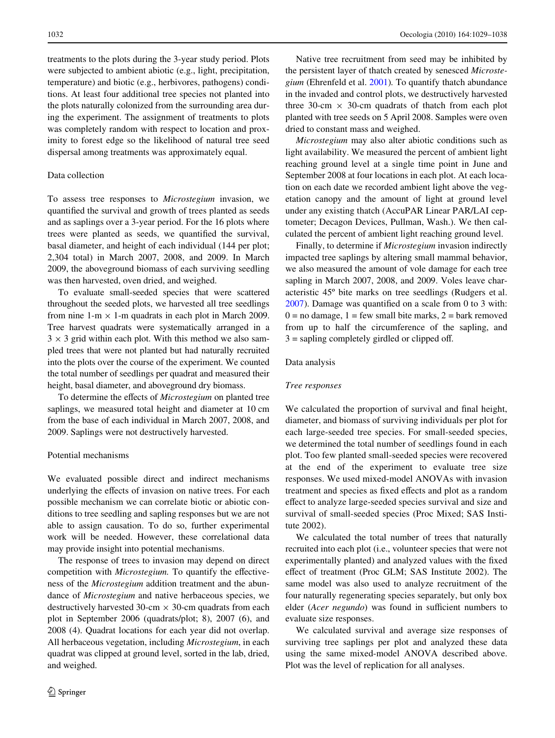treatments to the plots during the 3-year study period. Plots were subjected to ambient abiotic (e.g., light, precipitation, temperature) and biotic (e.g., herbivores, pathogens) conditions. At least four additional tree species not planted into the plots naturally colonized from the surrounding area during the experiment. The assignment of treatments to plots was completely random with respect to location and proximity to forest edge so the likelihood of natural tree seed dispersal among treatments was approximately equal.

# Data collection

To assess tree responses to *Microstegium* invasion, we quantified the survival and growth of trees planted as seeds and as saplings over a 3-year period. For the 16 plots where trees were planted as seeds, we quantified the survival, basal diameter, and height of each individual (144 per plot; 2,304 total) in March 2007, 2008, and 2009. In March 2009, the aboveground biomass of each surviving seedling was then harvested, oven dried, and weighed.

To evaluate small-seeded species that were scattered throughout the seeded plots, we harvested all tree seedlings from nine  $1-m \times 1-m$  quadrats in each plot in March 2009. Tree harvest quadrats were systematically arranged in a  $3 \times 3$  grid within each plot. With this method we also sampled trees that were not planted but had naturally recruited into the plots over the course of the experiment. We counted the total number of seedlings per quadrat and measured their height, basal diameter, and aboveground dry biomass.

To determine the effects of *Microstegium* on planted tree saplings, we measured total height and diameter at 10 cm from the base of each individual in March 2007, 2008, and 2009. Saplings were not destructively harvested.

# Potential mechanisms

We evaluated possible direct and indirect mechanisms underlying the effects of invasion on native trees. For each possible mechanism we can correlate biotic or abiotic conditions to tree seedling and sapling responses but we are not able to assign causation. To do so, further experimental work will be needed. However, these correlational data may provide insight into potential mechanisms.

The response of trees to invasion may depend on direct competition with *Microstegium*. To quantify the effectiveness of the *Microstegium* addition treatment and the abundance of *Microstegium* and native herbaceous species, we destructively harvested 30-cm  $\times$  30-cm quadrats from each plot in September 2006 (quadrats/plot; 8), 2007 (6), and 2008 (4). Quadrat locations for each year did not overlap. All herbaceous vegetation, including *Microstegium*, in each quadrat was clipped at ground level, sorted in the lab, dried, and weighed.

Native tree recruitment from seed may be inhibited by the persistent layer of thatch created by senesced *Microstegium* (Ehrenfeld et al. [2001](#page-8-20))*.* To quantify thatch abundance in the invaded and control plots, we destructively harvested three 30-cm  $\times$  30-cm quadrats of thatch from each plot planted with tree seeds on 5 April 2008. Samples were oven dried to constant mass and weighed.

*Microstegium* may also alter abiotic conditions such as light availability. We measured the percent of ambient light reaching ground level at a single time point in June and September 2008 at four locations in each plot. At each location on each date we recorded ambient light above the vegetation canopy and the amount of light at ground level under any existing thatch (AccuPAR Linear PAR/LAI ceptometer; Decagon Devices, Pullman, Wash.). We then calculated the percent of ambient light reaching ground level.

Finally, to determine if *Microstegium* invasion indirectly impacted tree saplings by altering small mammal behavior, we also measured the amount of vole damage for each tree sapling in March 2007, 2008, and 2009. Voles leave characteristic 45º bite marks on tree seedlings (Rudgers et al.  $2007$ ). Damage was quantified on a scale from 0 to 3 with:  $0 =$  no damage,  $1 =$  few small bite marks,  $2 =$  bark removed from up to half the circumference of the sapling, and  $3 =$  sapling completely girdled or clipped off.

# Data analysis

#### *Tree responses*

We calculated the proportion of survival and final height, diameter, and biomass of surviving individuals per plot for each large-seeded tree species. For small-seeded species, we determined the total number of seedlings found in each plot. Too few planted small-seeded species were recovered at the end of the experiment to evaluate tree size responses. We used mixed-model ANOVAs with invasion treatment and species as fixed effects and plot as a random effect to analyze large-seeded species survival and size and survival of small-seeded species (Proc Mixed; SAS Institute 2002).

We calculated the total number of trees that naturally recruited into each plot (i.e., volunteer species that were not experimentally planted) and analyzed values with the fixed effect of treatment (Proc GLM; SAS Institute 2002). The same model was also used to analyze recruitment of the four naturally regenerating species separately, but only box elder (*Acer negundo*) was found in sufficient numbers to evaluate size responses.

We calculated survival and average size responses of surviving tree saplings per plot and analyzed these data using the same mixed-model ANOVA described above. Plot was the level of replication for all analyses.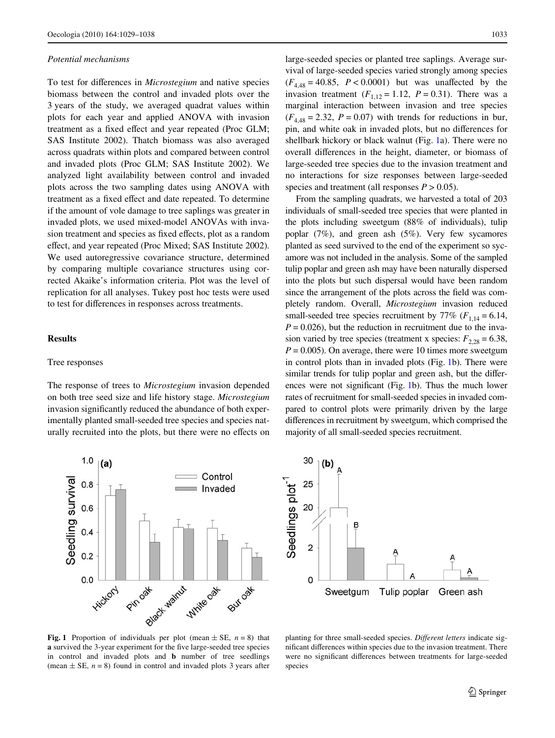#### *Potential mechanisms*

To test for differences in *Microstegium* and native species biomass between the control and invaded plots over the 3 years of the study, we averaged quadrat values within plots for each year and applied ANOVA with invasion treatment as a fixed effect and year repeated (Proc GLM; SAS Institute 2002). Thatch biomass was also averaged across quadrats within plots and compared between control and invaded plots (Proc GLM; SAS Institute 2002). We analyzed light availability between control and invaded plots across the two sampling dates using ANOVA with treatment as a fixed effect and date repeated. To determine if the amount of vole damage to tree saplings was greater in invaded plots, we used mixed-model ANOVAs with invasion treatment and species as fixed effects, plot as a random effect, and year repeated (Proc Mixed; SAS Institute 2002). We used autoregressive covariance structure, determined by comparing multiple covariance structures using corrected Akaike's information criteria. Plot was the level of replication for all analyses. Tukey post hoc tests were used to test for differences in responses across treatments.

#### **Results**

# Tree responses

The response of trees to *Microstegium* invasion depended on both tree seed size and life history stage. *Microstegium* invasion significantly reduced the abundance of both experimentally planted small-seeded tree species and species naturally recruited into the plots, but there were no effects on



large-seeded species or planted tree saplings. Average survival of large-seeded species varied strongly among species  $(F_{4.48} = 40.85, P < 0.0001)$  but was unaffected by the invasion treatment  $(F_{1,12} = 1.12, P = 0.31)$ . There was a marginal interaction between invasion and tree species  $(F<sub>4.48</sub> = 2.32, P = 0.07)$  with trends for reductions in bur, pin, and white oak in invaded plots, but no differences for shellbark hickory or black walnut (Fig. [1](#page-4-0)a). There were no overall differences in the height, diameter, or biomass of large-seeded tree species due to the invasion treatment and no interactions for size responses between large-seeded species and treatment (all responses  $P > 0.05$ ).

From the sampling quadrats, we harvested a total of 203 individuals of small-seeded tree species that were planted in the plots including sweetgum (88% of individuals), tulip poplar (7%), and green ash (5%). Very few sycamores planted as seed survived to the end of the experiment so sycamore was not included in the analysis. Some of the sampled tulip poplar and green ash may have been naturally dispersed into the plots but such dispersal would have been random since the arrangement of the plots across the field was completely random. Overall, *Microstegium* invasion reduced small-seeded tree species recruitment by  $77\%$  ( $F_{1,14} = 6.14$ ,  $P = 0.026$ , but the reduction in recruitment due to the invasion varied by tree species (treatment x species:  $F_{2,28} = 6.38$ ,  $P = 0.005$ . On average, there were 10 times more sweetgum in control plots than in invaded plots (Fig. [1b](#page-4-0)). There were similar trends for tulip poplar and green ash, but the differ-ences were not significant (Fig. [1b](#page-4-0)). Thus the much lower rates of recruitment for small-seeded species in invaded compared to control plots were primarily driven by the large differences in recruitment by sweetgum, which comprised the majority of all small-seeded species recruitment.



<span id="page-4-0"></span>**Fig. 1** Proportion of individuals per plot (mean  $\pm$  SE,  $n = 8$ ) that **a** survived the 3-year experiment for the five large-seeded tree species in control and invaded plots and **b** number of tree seedlings (mean  $\pm$  SE,  $n = 8$ ) found in control and invaded plots 3 years after

planting for three small-seeded species. Different letters indicate significant differences within species due to the invasion treatment. There were no significant differences between treatments for large-seeded species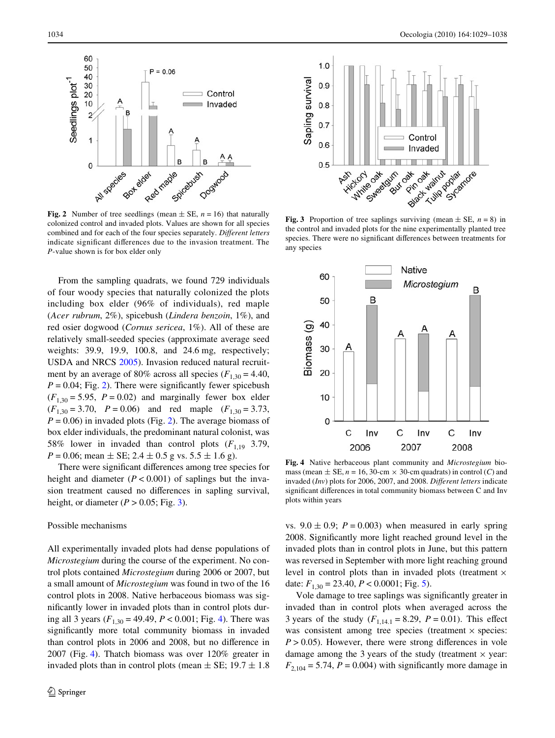

<span id="page-5-0"></span>**Fig. 2** Number of tree seedlings (mean  $\pm$  SE, *n* = 16) that naturally colonized control and invaded plots. Values are shown for all species combined and for each of the four species separately. Different letters indicate significant differences due to the invasion treatment. The *P*-value shown is for box elder only

From the sampling quadrats, we found 729 individuals of four woody species that naturally colonized the plots including box elder (96% of individuals), red maple (*Acer rubrum*, 2%), spicebush (*Lindera benzoin*, 1%), and red osier dogwood (*Cornus sericea*, 1%). All of these are relatively small-seeded species (approximate average seed weights: 39.9, 19.9, 100.8, and 24.6 mg, respectively; USDA and NRCS [2005\)](#page-9-14). Invasion reduced natural recruitment by an average of 80% across all species  $(F_{1,30} = 4.40,$  $P = 0.04$ ; Fig. [2](#page-5-0)). There were significantly fewer spicebush  $(F_{1,30} = 5.95, P = 0.02)$  and marginally fewer box elder  $(F_{1,30} = 3.70, P = 0.06)$  and red maple  $(F_{1,30} = 3.73,$  $P = 0.06$ ) in invaded plots (Fig. [2\)](#page-5-0). The average biomass of box elder individuals, the predominant natural colonist, was 58% lower in invaded than control plots  $(F_{1,19}, 3.79)$ ,  $P = 0.06$ ; mean  $\pm$  SE; 2.4  $\pm$  0.5 g vs. 5.5  $\pm$  1.6 g).

There were significant differences among tree species for height and diameter  $(P < 0.001)$  of saplings but the invasion treatment caused no differences in sapling survival, height, or diameter  $(P > 0.05$ ; Fig. [3](#page-5-1)).

#### Possible mechanisms

All experimentally invaded plots had dense populations of *Microstegium* during the course of the experiment. No control plots contained *Microstegium* during 2006 or 2007, but a small amount of *Microstegium* was found in two of the 16 control plots in 2008. Native herbaceous biomass was significantly lower in invaded plots than in control plots during all 3 years  $(F_{1,30} = 49.49, P < 0.001;$  Fig. [4\)](#page-5-2). There was significantly more total community biomass in invaded than control plots in 2006 and 2008, but no difference in 2007 (Fig. [4\)](#page-5-2). Thatch biomass was over 120% greater in invaded plots than in control plots (mean  $\pm$  SE; 19.7  $\pm$  1.8



<span id="page-5-1"></span>the control and invaded plots for the nine experimentally planted tree species. There were no significant differences between treatments for any species



<span id="page-5-2"></span>**Fig. 4** Native herbaceous plant community and *Microstegium* biomass (mean  $\pm$  SE,  $n = 16$ , 30-cm  $\times$  30-cm quadrats) in control (*C*) and invaded (*Inv*) plots for 2006, 2007, and 2008. *Different letters* indicate significant differences in total community biomass between C and Inv plots within years

vs.  $9.0 \pm 0.9$ ;  $P = 0.003$ ) when measured in early spring 2008. Significantly more light reached ground level in the invaded plots than in control plots in June, but this pattern was reversed in September with more light reaching ground level in control plots than in invaded plots (treatment  $\times$ date:  $F_{1,30} = 23.40, P < 0.0001$ ; Fig. [5](#page-6-0)).

Vole damage to tree saplings was significantly greater in invaded than in control plots when averaged across the 3 years of the study  $(F_{1,14,1} = 8.29, P = 0.01)$ . This effect was consistent among tree species (treatment  $\times$  species:  $P > 0.05$ ). However, there were strong differences in vole damage among the 3 years of the study (treatment  $\times$  year:  $F_{2,104} = 5.74$ ,  $P = 0.004$ ) with significantly more damage in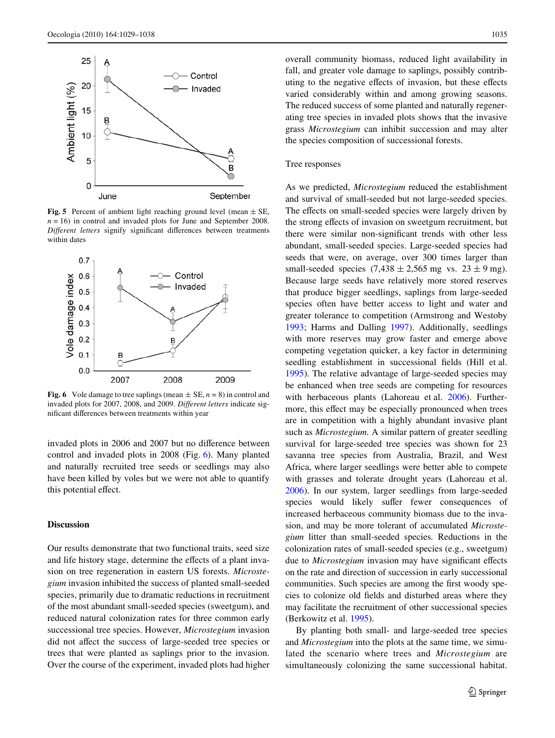

<span id="page-6-0"></span>**Fig. 5** Percent of ambient light reaching ground level (mean  $\pm$  SE,  $n = 16$ ) in control and invaded plots for June and September 2008. *Different letters* signify significant differences between treatments within dates



<span id="page-6-1"></span>**Fig. 6** Vole damage to tree saplings (mean  $\pm$  SE,  $n = 8$ ) in control and invaded plots for 2007, 2008, and 2009. *Different letters* indicate significant differences between treatments within year

invaded plots in 2006 and 2007 but no difference between control and invaded plots in 2008 (Fig. [6\)](#page-6-1). Many planted and naturally recruited tree seeds or seedlings may also have been killed by voles but we were not able to quantify this potential effect.

# **Discussion**

Our results demonstrate that two functional traits, seed size and life history stage, determine the effects of a plant invasion on tree regeneration in eastern US forests. *Microstegium* invasion inhibited the success of planted small-seeded species, primarily due to dramatic reductions in recruitment of the most abundant small-seeded species (sweetgum), and reduced natural colonization rates for three common early successional tree species. However, *Microstegium* invasion did not affect the success of large-seeded tree species or trees that were planted as saplings prior to the invasion. Over the course of the experiment, invaded plots had higher overall community biomass, reduced light availability in fall, and greater vole damage to saplings, possibly contributing to the negative effects of invasion, but these effects varied considerably within and among growing seasons. The reduced success of some planted and naturally regenerating tree species in invaded plots shows that the invasive grass *Microstegium* can inhibit succession and may alter the species composition of successional forests.

# Tree responses

As we predicted, *Microstegium* reduced the establishment and survival of small-seeded but not large-seeded species. The effects on small-seeded species were largely driven by the strong effects of invasion on sweetgum recruitment, but there were similar non-significant trends with other less abundant, small-seeded species. Large-seeded species had seeds that were, on average, over 300 times larger than small-seeded species  $(7,438 \pm 2,565 \text{ mg} \text{ vs. } 23 \pm 9 \text{ mg})$ . Because large seeds have relatively more stored reserves that produce bigger seedlings, saplings from large-seeded species often have better access to light and water and greater tolerance to competition (Armstrong and Westoby [1993](#page-8-14); Harms and Dalling [1997\)](#page-8-15). Additionally, seedlings with more reserves may grow faster and emerge above competing vegetation quicker, a key factor in determining seedling establishment in successional fields (Hill et al. [1995](#page-8-23)). The relative advantage of large-seeded species may be enhanced when tree seeds are competing for resources with herbaceous plants (Lahoreau et al. [2006](#page-8-3)). Furthermore, this effect may be especially pronounced when trees are in competition with a highly abundant invasive plant such as *Microstegium.* A similar pattern of greater seedling survival for large-seeded tree species was shown for 23 savanna tree species from Australia, Brazil, and West Africa, where larger seedlings were better able to compete with grasses and tolerate drought years (Lahoreau et al. [2006](#page-8-3)). In our system, larger seedlings from large-seeded species would likely suffer fewer consequences of increased herbaceous community biomass due to the invasion, and may be more tolerant of accumulated *Microstegium* litter than small-seeded species*.* Reductions in the colonization rates of small-seeded species (e.g., sweetgum) due to *Microstegium* invasion may have significant effects on the rate and direction of succession in early successional communities. Such species are among the first woody species to colonize old fields and disturbed areas where they may facilitate the recruitment of other successional species (Berkowitz et al. [1995\)](#page-8-0).

By planting both small- and large-seeded tree species and *Microstegium* into the plots at the same time, we simulated the scenario where trees and *Microstegium* are simultaneously colonizing the same successional habitat.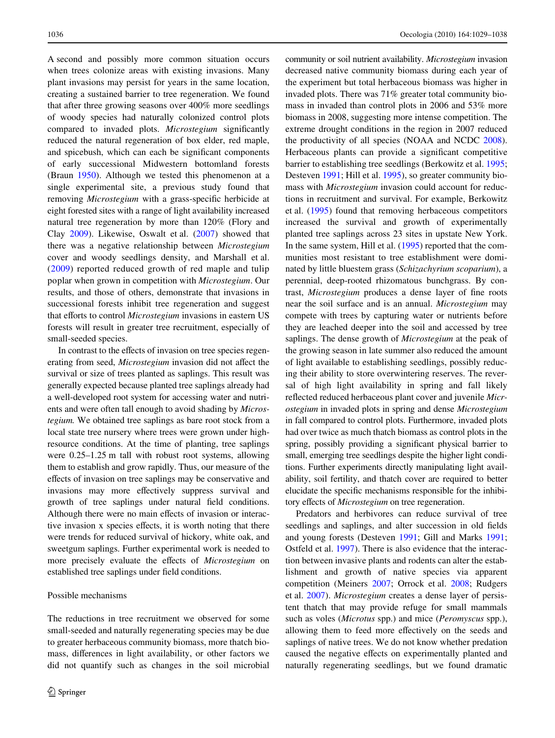A second and possibly more common situation occurs when trees colonize areas with existing invasions. Many plant invasions may persist for years in the same location, creating a sustained barrier to tree regeneration. We found that after three growing seasons over 400% more seedlings of woody species had naturally colonized control plots compared to invaded plots. *Microstegium* significantly reduced the natural regeneration of box elder, red maple, and spicebush, which can each be significant components of early successional Midwestern bottomland forests (Braun [1950](#page-8-22)). Although we tested this phenomenon at a single experimental site, a previous study found that removing *Microstegium* with a grass-specific herbicide at eight forested sites with a range of light availability increased natural tree regeneration by more than 120% (Flory and Clay [2009\)](#page-8-9). Likewise, Oswalt et al. [\(2007\)](#page-9-9) showed that there was a negative relationship between *Microstegium* cover and woody seedlings density, and Marshall et al. ([2009](#page-9-16)) reported reduced growth of red maple and tulip poplar when grown in competition with *Microstegium*. Our results, and those of others, demonstrate that invasions in successional forests inhibit tree regeneration and suggest that efforts to control *Microstegium* invasions in eastern US forests will result in greater tree recruitment, especially of small-seeded species.

In contrast to the effects of invasion on tree species regenerating from seed, *Microstegium* invasion did not affect the survival or size of trees planted as saplings. This result was generally expected because planted tree saplings already had a well-developed root system for accessing water and nutrients and were often tall enough to avoid shading by *Microstegium.* We obtained tree saplings as bare root stock from a local state tree nursery where trees were grown under highresource conditions. At the time of planting, tree saplings were 0.25–1.25 m tall with robust root systems, allowing them to establish and grow rapidly. Thus, our measure of the effects of invasion on tree saplings may be conservative and invasions may more effectively suppress survival and growth of tree saplings under natural field conditions. Although there were no main effects of invasion or interactive invasion x species effects, it is worth noting that there were trends for reduced survival of hickory, white oak, and sweetgum saplings. Further experimental work is needed to more precisely evaluate the effects of *Microstegium* on established tree saplings under field conditions.

# Possible mechanisms

The reductions in tree recruitment we observed for some small-seeded and naturally regenerating species may be due to greater herbaceous community biomass, more thatch biomass, differences in light availability, or other factors we did not quantify such as changes in the soil microbial community or soil nutrient availability. *Microstegium* invasion decreased native community biomass during each year of the experiment but total herbaceous biomass was higher in invaded plots. There was 71% greater total community biomass in invaded than control plots in 2006 and 53% more biomass in 2008, suggesting more intense competition. The extreme drought conditions in the region in 2007 reduced the productivity of all species (NOAA and NCDC [2008](#page-9-17)). Herbaceous plants can provide a significant competitive barrier to establishing tree seedlings (Berkowitz et al. [1995;](#page-8-0) Desteven [1991;](#page-8-24) Hill et al. [1995\)](#page-8-23), so greater community biomass with *Microstegium* invasion could account for reductions in recruitment and survival. For example, Berkowitz et al. ([1995\)](#page-8-0) found that removing herbaceous competitors increased the survival and growth of experimentally planted tree saplings across 23 sites in upstate New York. In the same system, Hill et al. [\(1995](#page-8-23)) reported that the communities most resistant to tree establishment were dominated by little bluestem grass (*Schizachyrium scoparium*), a perennial, deep-rooted rhizomatous bunchgrass. By contrast, *Microstegium* produces a dense layer of fine roots near the soil surface and is an annual. *Microstegium* may compete with trees by capturing water or nutrients before they are leached deeper into the soil and accessed by tree saplings. The dense growth of *Microstegium* at the peak of the growing season in late summer also reduced the amount of light available to establishing seedlings, possibly reducing their ability to store overwintering reserves. The reversal of high light availability in spring and fall likely reflected reduced herbaceous plant cover and juvenile *Microstegium* in invaded plots in spring and dense *Microstegium* in fall compared to control plots. Furthermore, invaded plots had over twice as much thatch biomass as control plots in the spring, possibly providing a significant physical barrier to small, emerging tree seedlings despite the higher light conditions. Further experiments directly manipulating light availability, soil fertility, and thatch cover are required to better elucidate the specific mechanisms responsible for the inhibitory effects of *Microstegium* on tree regeneration.

Predators and herbivores can reduce survival of tree seedlings and saplings, and alter succession in old fields and young forests (Desteven [1991;](#page-8-24) Gill and Marks [1991;](#page-8-1) Ostfeld et al. [1997](#page-9-3)). There is also evidence that the interaction between invasive plants and rodents can alter the establishment and growth of native species via apparent competition (Meiners [2007](#page-9-10); Orrock et al. [2008;](#page-9-18) Rudgers et al. [2007\)](#page-9-6). *Microstegium* creates a dense layer of persistent thatch that may provide refuge for small mammals such as voles (*Microtus* spp.) and mice (*Peromyscus* spp.), allowing them to feed more effectively on the seeds and saplings of native trees. We do not know whether predation caused the negative effects on experimentally planted and naturally regenerating seedlings, but we found dramatic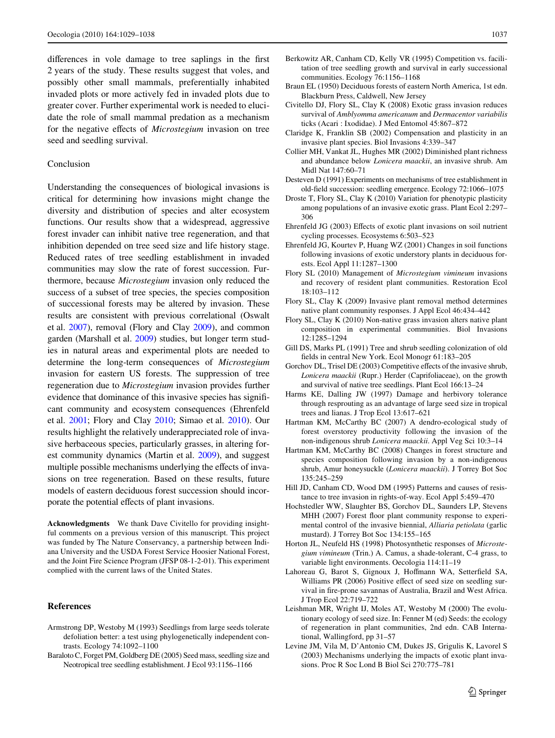differences in vole damage to tree saplings in the first 2 years of the study. These results suggest that voles, and possibly other small mammals, preferentially inhabited invaded plots or more actively fed in invaded plots due to greater cover. Further experimental work is needed to elucidate the role of small mammal predation as a mechanism for the negative effects of *Microstegium* invasion on tree seed and seedling survival.

### Conclusion

Understanding the consequences of biological invasions is critical for determining how invasions might change the diversity and distribution of species and alter ecosystem functions. Our results show that a widespread, aggressive forest invader can inhibit native tree regeneration, and that inhibition depended on tree seed size and life history stage. Reduced rates of tree seedling establishment in invaded communities may slow the rate of forest succession. Furthermore, because *Microstegium* invasion only reduced the success of a subset of tree species, the species composition of successional forests may be altered by invasion. These results are consistent with previous correlational (Oswalt et al. [2007\)](#page-9-9), removal (Flory and Clay [2009](#page-8-9)), and common garden (Marshall et al. [2009\)](#page-9-16) studies, but longer term studies in natural areas and experimental plots are needed to determine the long-term consequences of *Microstegium* invasion for eastern US forests. The suppression of tree regeneration due to *Microstegium* invasion provides further evidence that dominance of this invasive species has significant community and ecosystem consequences (Ehrenfeld et al. [2001;](#page-8-20) Flory and Clay [2010;](#page-8-5) Simao et al. [2010](#page-9-15)). Our results highlight the relatively underappreciated role of invasive herbaceous species, particularly grasses, in altering forest community dynamics (Martin et al. [2009](#page-9-19)), and suggest multiple possible mechanisms underlying the effects of invasions on tree regeneration. Based on these results, future models of eastern deciduous forest succession should incorporate the potential effects of plant invasions.

**Acknowledgments** We thank Dave Civitello for providing insightful comments on a previous version of this manuscript. This project was funded by The Nature Conservancy, a partnership between Indiana University and the USDA Forest Service Hoosier National Forest, and the Joint Fire Science Program (JFSP 08-1-2-01). This experiment complied with the current laws of the United States.

### **References**

- <span id="page-8-14"></span>Armstrong DP, Westoby M (1993) Seedlings from large seeds tolerate defoliation better: a test using phylogenetically independent contrasts. Ecology 74:1092–1100
- <span id="page-8-12"></span>Baraloto C, Forget PM, Goldberg DE (2005) Seed mass, seedling size and Neotropical tree seedling establishment. J Ecol 93:1156–1166
- <span id="page-8-0"></span>Berkowitz AR, Canham CD, Kelly VR (1995) Competition vs. facilitation of tree seedling growth and survival in early successional communities. Ecology 76:1156–1168
- <span id="page-8-22"></span>Braun EL (1950) Deciduous forests of eastern North America, 1st edn. Blackburn Press, Caldwell, New Jersey
- <span id="page-8-21"></span>Civitello DJ, Flory SL, Clay K (2008) Exotic grass invasion reduces survival of *Amblyomma americanum* and *Dermacentor variabilis* ticks (Acari : Ixodidae). J Med Entomol 45:867–872
- <span id="page-8-17"></span>Claridge K, Franklin SB (2002) Compensation and plasticity in an invasive plant species. Biol Invasions 4:339–347
- <span id="page-8-10"></span>Collier MH, Vankat JL, Hughes MR (2002) Diminished plant richness and abundance below *Lonicera maackii*, an invasive shrub. Am Midl Nat 147:60–71
- <span id="page-8-24"></span>Desteven D (1991) Experiments on mechanisms of tree establishment in old-field succession: seedling emergence. Ecology 72:1066–1075
- <span id="page-8-18"></span>Droste T, Flory SL, Clay K (2010) Variation for phenotypic plasticity among populations of an invasive exotic grass. Plant Ecol 2:297– 306
- <span id="page-8-7"></span>Ehrenfeld JG (2003) Effects of exotic plant invasions on soil nutrient cycling processes. Ecosystems 6:503–523
- <span id="page-8-20"></span>Ehrenfeld JG, Kourtev P, Huang WZ (2001) Changes in soil functions following invasions of exotic understory plants in deciduous forests. Ecol Appl 11:1287–1300
- <span id="page-8-19"></span>Flory SL (2010) Management of *Microstegium vimineum* invasions and recovery of resident plant communities. Restoration Ecol 18:103–112
- <span id="page-8-9"></span>Flory SL, Clay K (2009) Invasive plant removal method determines native plant community responses. J Appl Ecol 46:434–442
- <span id="page-8-5"></span>Flory SL, Clay K (2010) Non-native grass invasion alters native plant composition in experimental communities. Biol Invasions 12:1285–1294
- <span id="page-8-1"></span>Gill DS, Marks PL (1991) Tree and shrub seedling colonization of old fields in central New York. Ecol Monogr 61:183-205
- <span id="page-8-2"></span>Gorchov DL, Trisel DE (2003) Competitive effects of the invasive shrub, *Lonicera maackii* (Rupr.) Herder (Caprifoliaceae), on the growth and survival of native tree seedlings. Plant Ecol 166:13–24
- <span id="page-8-15"></span>Harms KE, Dalling JW (1997) Damage and herbivory tolerance through resprouting as an advantage of large seed size in tropical trees and lianas. J Trop Ecol 13:617–621
- <span id="page-8-8"></span>Hartman KM, McCarthy BC (2007) A dendro-ecological study of forest overstorey productivity following the invasion of the non-indigenous shrub *Lonicera maackii*. Appl Veg Sci 10:3–14
- <span id="page-8-11"></span>Hartman KM, McCarthy BC (2008) Changes in forest structure and species composition following invasion by a non-indigenous shrub, Amur honeysuckle (*Lonicera maackii*). J Torrey Bot Soc 135:245–259
- <span id="page-8-23"></span>Hill JD, Canham CD, Wood DM (1995) Patterns and causes of resistance to tree invasion in rights-of-way. Ecol Appl 5:459–470
- <span id="page-8-6"></span>Hochstedler WW, Slaughter BS, Gorchov DL, Saunders LP, Stevens MHH (2007) Forest floor plant community response to experimental control of the invasive biennial, *Alliaria petiolata* (garlic mustard). J Torrey Bot Soc 134:155–165
- <span id="page-8-16"></span>Horton JL, Neufeld HS (1998) Photosynthetic responses of *Microstegium vimineum* (Trin.) A. Camus, a shade-tolerant, C-4 grass, to variable light environments. Oecologia 114:11–19
- <span id="page-8-3"></span>Lahoreau G, Barot S, Gignoux J, Hoffmann WA, Setterfield SA, Williams PR (2006) Positive effect of seed size on seedling survival in fire-prone savannas of Australia, Brazil and West Africa. J Trop Ecol 22:719–722
- <span id="page-8-4"></span>Leishman MR, Wright IJ, Moles AT, Westoby M (2000) The evolutionary ecology of seed size. In: Fenner M (ed) Seeds: the ecology of regeneration in plant communities, 2nd edn. CAB International, Wallingford, pp 31–57
- <span id="page-8-13"></span>Levine JM, Vila M, D'Antonio CM, Dukes JS, Grigulis K, Lavorel S (2003) Mechanisms underlying the impacts of exotic plant invasions. Proc R Soc Lond B Biol Sci 270:775–781